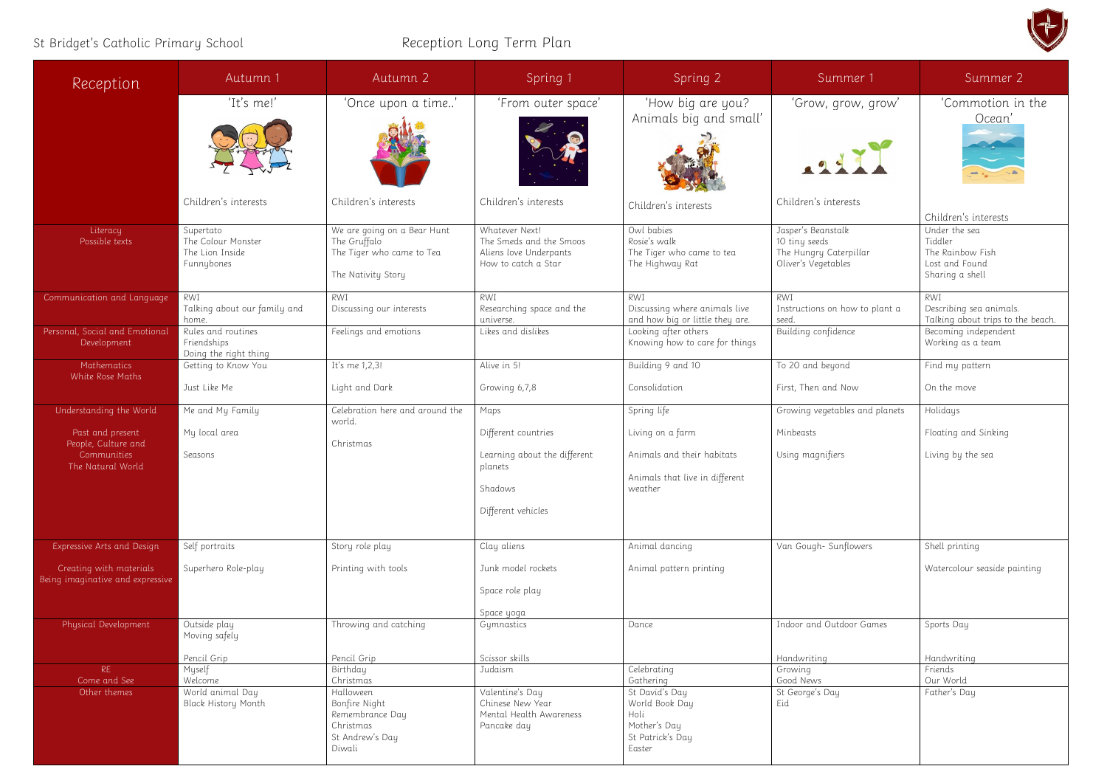## St Bridget's Catholic Primary School **Reception Long Term Plan**

| Reception                                                                   | Autumn 1                                                         | Autumn 2                                                                                             | Spring 1                                                                                        | Spring 2                                                                                            | Summer 1                                                                             | Summer 2                                                                                                  |
|-----------------------------------------------------------------------------|------------------------------------------------------------------|------------------------------------------------------------------------------------------------------|-------------------------------------------------------------------------------------------------|-----------------------------------------------------------------------------------------------------|--------------------------------------------------------------------------------------|-----------------------------------------------------------------------------------------------------------|
|                                                                             | 'It's me!'<br>Children's interests                               | 'Once upon a time'<br>Children's interests                                                           | 'From outer space'<br>Children's interests                                                      | 'How big are you?<br>Animals big and small'<br>Children's interests                                 | 'Grow, grow, grow'<br>1211<br>Children's interests                                   | Commotion in the<br>Ocean'                                                                                |
| Literacy<br>Possible texts                                                  | Supertato<br>The Colour Monster<br>The Lion Inside<br>Funnybones | We are going on a Bear Hunt<br>The Gruffalo<br>The Tiger who came to Tea<br>The Nativity Story       | Whatever Next!<br>The Smeds and the Smoos<br>Aliens love Underpants<br>How to catch a Star      | Owl babies<br>Rosie's walk<br>The Tiger who came to tea<br>The Highway Rat                          | Jasper's Beanstalk<br>10 tiny seeds<br>The Hungry Caterpillar<br>Oliver's Vegetables | Children's interests<br>Under the sea<br>Tiddler<br>The Rainbow Fish<br>Lost and Found<br>Sharing a shell |
| Communication and Language                                                  | RWI<br>Talking about our family and<br>home.                     | RWI<br>Discussing our interests                                                                      | RWI<br>Researching space and the<br>universe.                                                   | RWI<br>Discussing where animals live<br>and how big or little they are.                             | <b>RWI</b><br>Instructions on how to plant a<br>seed.                                | RWI<br>Describing sea animals.<br>Talking about trips to the beach.                                       |
| Personal, Social and Emotional<br>Development                               | Rules and routines<br>Friendships<br>Doing the right thing       | Feelings and emotions                                                                                | Likes and dislikes                                                                              | Looking after others<br>Knowing how to care for things                                              | Building confidence                                                                  | Becoming independent<br>Working as a team                                                                 |
| Mathematics<br>White Rose Maths                                             | Getting to Know You<br>Just Like Me                              | It's me 1,2,3!<br>Light and Dark                                                                     | Alive in 5!<br>Growing 6,7,8                                                                    | Building 9 and 10<br>Consolidation                                                                  | To 20 and beyond<br>First, Then and Now                                              | Find my pattern<br>On the move                                                                            |
| Understanding the World                                                     | Me and My Family                                                 | Celebration here and around the<br>world.                                                            | Maps                                                                                            | Spring life                                                                                         | Growing vegetables and planets                                                       | Holidays                                                                                                  |
| Past and present<br>People, Culture and<br>Communities<br>The Natural World | My local area<br>Seasons                                         | Christmas                                                                                            | Different countries<br>Learning about the different<br>planets<br>Shadows<br>Different vehicles | Living on a farm<br>Animals and their habitats<br>Animals that live in different<br>weather         | Minbeasts<br>Using magnifiers                                                        | Floating and Sinking<br>Living by the sea                                                                 |
| Expressive Arts and Design                                                  | Self portraits                                                   | Story role play                                                                                      | Clay aliens                                                                                     | Animal dancing                                                                                      | Van Gough-Sunflowers                                                                 | Shell printing                                                                                            |
| Creating with materials<br>Being imaginative and expressive                 | Superhero Role-play                                              | Printing with tools                                                                                  | Junk model rockets<br>Space role play<br>Space yoga                                             | Animal pattern printing                                                                             |                                                                                      | Watercolour seaside painting                                                                              |
| Physical Development                                                        | Outside play<br>Moving safely<br>Pencil Grip                     | Throwing and catching<br>Pencil Grip                                                                 | Gymnastics<br>Scissor skills                                                                    | Dance                                                                                               | Indoor and Outdoor Games<br>Handwriting                                              | Sports Day<br>Handwriting                                                                                 |
| RE                                                                          | Myself                                                           | Birthday                                                                                             | Judaism                                                                                         | Celebrating                                                                                         | Growing                                                                              | Friends                                                                                                   |
| Come and See<br>Other themes                                                | Welcome<br>World animal Day<br>Black History Month               | Christmas<br>Halloween<br>Bonfire Night<br>Remembrance Day<br>Christmas<br>St Andrew's Day<br>Diwali | Valentine's Day<br>Chinese New Year<br>Mental Health Awareness<br>Pancake day                   | Gathering<br>St David's Day<br>World Book Day<br>Holi<br>Mother's Day<br>St Patrick's Day<br>Easter | Good News<br>St George's Day<br>Eid                                                  | Our World<br>Father's Day                                                                                 |